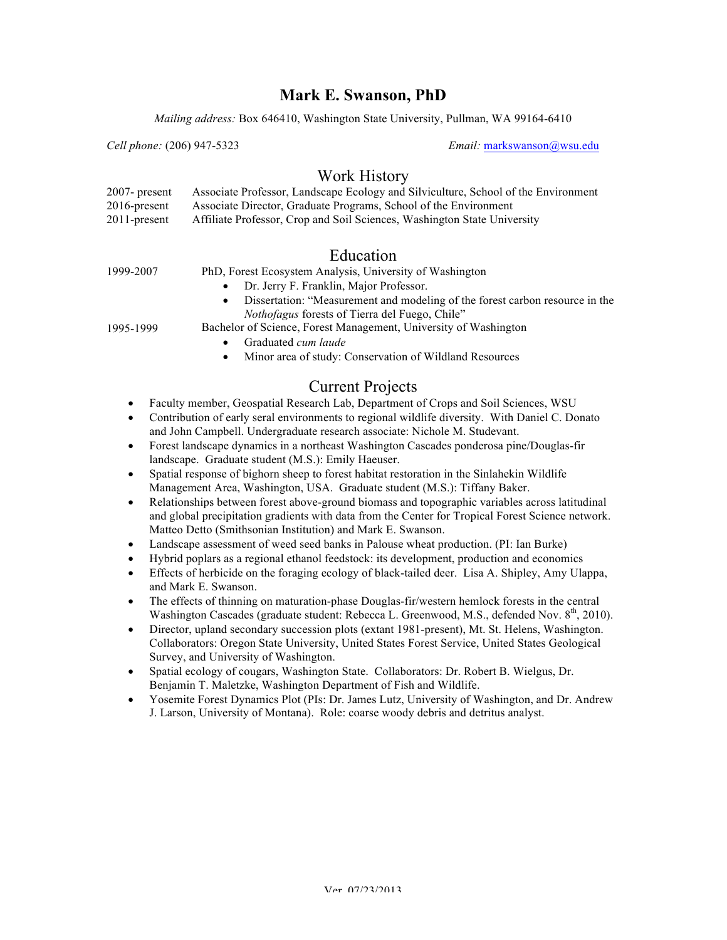## **Mark E. Swanson, PhD**

*Mailing address:* Box 646410, Washington State University, Pullman, WA 99164-6410

*Cell phone:* (206) 947-5323 *Email:* markswanson@wsu.edu

## Work History

| $2007$ - present | Associate Professor, Landscape Ecology and Silviculture, School of the Environment |
|------------------|------------------------------------------------------------------------------------|
| $2016$ -present  | Associate Director, Graduate Programs, School of the Environment                   |
| $2011$ -present  | Affiliate Professor, Crop and Soil Sciences, Washington State University           |

# Education

| 1999-2007 | PhD, Forest Ecosystem Analysis, University of Washington                     |
|-----------|------------------------------------------------------------------------------|
|           | • Dr. Jerry F. Franklin, Major Professor.                                    |
|           | Dissertation: "Measurement and modeling of the forest carbon resource in the |

*Nothofagus* forests of Tierra del Fuego, Chile"

Bachelor of Science, Forest Management, University of Washington

- Graduated *cum laude*
- Minor area of study: Conservation of Wildland Resources

# Current Projects

- Faculty member, Geospatial Research Lab, Department of Crops and Soil Sciences, WSU
- Contribution of early seral environments to regional wildlife diversity. With Daniel C. Donato and John Campbell. Undergraduate research associate: Nichole M. Studevant.
- Forest landscape dynamics in a northeast Washington Cascades ponderosa pine/Douglas-fir landscape. Graduate student (M.S.): Emily Haeuser.
- Spatial response of bighorn sheep to forest habitat restoration in the Sinlahekin Wildlife Management Area, Washington, USA. Graduate student (M.S.): Tiffany Baker.
- Relationships between forest above-ground biomass and topographic variables across latitudinal and global precipitation gradients with data from the Center for Tropical Forest Science network. Matteo Detto (Smithsonian Institution) and Mark E. Swanson.
- Landscape assessment of weed seed banks in Palouse wheat production. (PI: Ian Burke)
- Hybrid poplars as a regional ethanol feedstock: its development, production and economics
- Effects of herbicide on the foraging ecology of black-tailed deer. Lisa A. Shipley, Amy Ulappa, and Mark E. Swanson.
- The effects of thinning on maturation-phase Douglas-fir/western hemlock forests in the central Washington Cascades (graduate student: Rebecca L. Greenwood, M.S., defended Nov.  $8<sup>th</sup>$ , 2010).
- Director, upland secondary succession plots (extant 1981-present), Mt. St. Helens, Washington. Collaborators: Oregon State University, United States Forest Service, United States Geological Survey, and University of Washington.
- Spatial ecology of cougars, Washington State. Collaborators: Dr. Robert B. Wielgus, Dr. Benjamin T. Maletzke, Washington Department of Fish and Wildlife.
- Yosemite Forest Dynamics Plot (PIs: Dr. James Lutz, University of Washington, and Dr. Andrew J. Larson, University of Montana). Role: coarse woody debris and detritus analyst.

1995-1999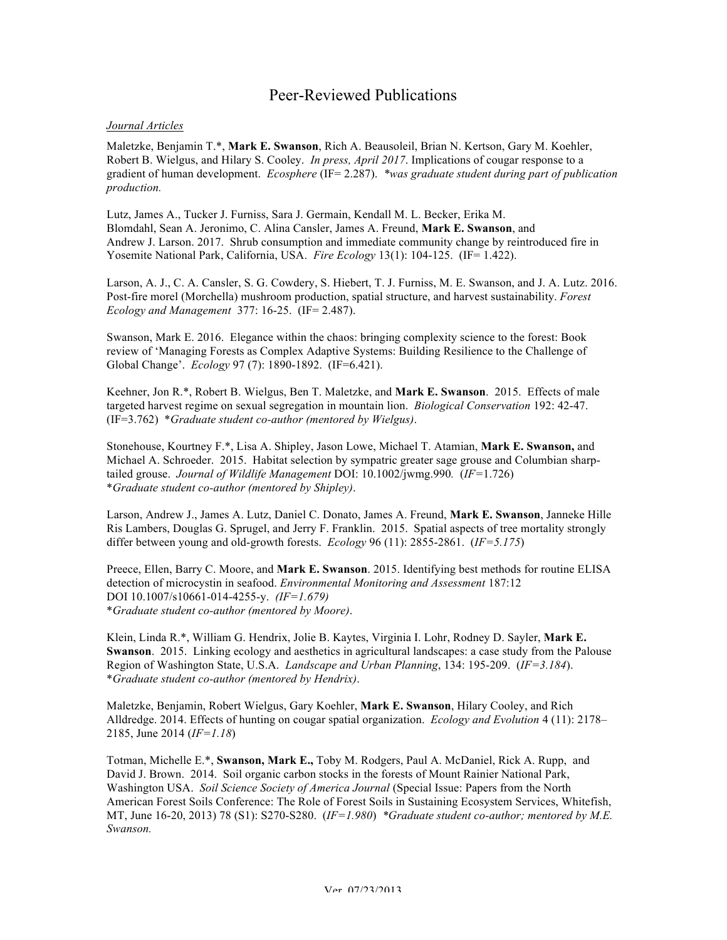## Peer-Reviewed Publications

### *Journal Articles*

Maletzke, Benjamin T.\*, **Mark E. Swanson**, Rich A. Beausoleil, Brian N. Kertson, Gary M. Koehler, Robert B. Wielgus, and Hilary S. Cooley. *In press, April 2017*. Implications of cougar response to a gradient of human development. *Ecosphere* (IF= 2.287). *\*was graduate student during part of publication production.*

Lutz, James A., Tucker J. Furniss, Sara J. Germain, Kendall M. L. Becker, Erika M. Blomdahl, Sean A. Jeronimo, C. Alina Cansler, James A. Freund, **Mark E. Swanson**, and Andrew J. Larson. 2017. Shrub consumption and immediate community change by reintroduced fire in Yosemite National Park, California, USA. *Fire Ecology* 13(1): 104-125. (IF= 1.422).

Larson, A. J., C. A. Cansler, S. G. Cowdery, S. Hiebert, T. J. Furniss, M. E. Swanson, and J. A. Lutz. 2016. Post-fire morel (Morchella) mushroom production, spatial structure, and harvest sustainability. *Forest Ecology and Management* 377: 16-25. (IF= 2.487).

Swanson, Mark E. 2016. Elegance within the chaos: bringing complexity science to the forest: Book review of 'Managing Forests as Complex Adaptive Systems: Building Resilience to the Challenge of Global Change'. *Ecology* 97 (7): 1890-1892. (IF=6.421).

Keehner, Jon R.\*, Robert B. Wielgus, Ben T. Maletzke, and **Mark E. Swanson**. 2015. Effects of male targeted harvest regime on sexual segregation in mountain lion. *Biological Conservation* 192: 42-47. (IF=3.762) \**Graduate student co-author (mentored by Wielgus)*.

Stonehouse, Kourtney F.\*, Lisa A. Shipley, Jason Lowe, Michael T. Atamian, **Mark E. Swanson,** and Michael A. Schroeder. 2015. Habitat selection by sympatric greater sage grouse and Columbian sharptailed grouse. *Journal of Wildlife Management* DOI: 10.1002/jwmg.990*.* (*IF=*1.726) \**Graduate student co-author (mentored by Shipley)*.

Larson, Andrew J., James A. Lutz, Daniel C. Donato, James A. Freund, **Mark E. Swanson**, Janneke Hille Ris Lambers, Douglas G. Sprugel, and Jerry F. Franklin. 2015. Spatial aspects of tree mortality strongly differ between young and old-growth forests. *Ecology* 96 (11): 2855-2861. (*IF=5.175*)

Preece, Ellen, Barry C. Moore, and **Mark E. Swanson**. 2015. Identifying best methods for routine ELISA detection of microcystin in seafood. *Environmental Monitoring and Assessment* 187:12 DOI 10.1007/s10661-014-4255-y. *(IF=1.679)* \**Graduate student co-author (mentored by Moore)*.

Klein, Linda R.\*, William G. Hendrix, Jolie B. Kaytes, Virginia I. Lohr, Rodney D. Sayler, **Mark E. Swanson**. 2015. Linking ecology and aesthetics in agricultural landscapes: a case study from the Palouse Region of Washington State, U.S.A. *Landscape and Urban Planning*, 134: 195-209. (*IF=3.184*). \**Graduate student co-author (mentored by Hendrix)*.

Maletzke, Benjamin, Robert Wielgus, Gary Koehler, **Mark E. Swanson**, Hilary Cooley, and Rich Alldredge. 2014. Effects of hunting on cougar spatial organization. *Ecology and Evolution* 4 (11): 2178– 2185, June 2014 (*IF=1.18*)

Totman, Michelle E.\*, **Swanson, Mark E.,** Toby M. Rodgers, Paul A. McDaniel, Rick A. Rupp, and David J. Brown. 2014. Soil organic carbon stocks in the forests of Mount Rainier National Park, Washington USA. *Soil Science Society of America Journal* (Special Issue: Papers from the North American Forest Soils Conference: The Role of Forest Soils in Sustaining Ecosystem Services, Whitefish, MT, June 16-20, 2013) 78 (S1): S270-S280. (*IF=1.980*) *\*Graduate student co-author; mentored by M.E. Swanson.*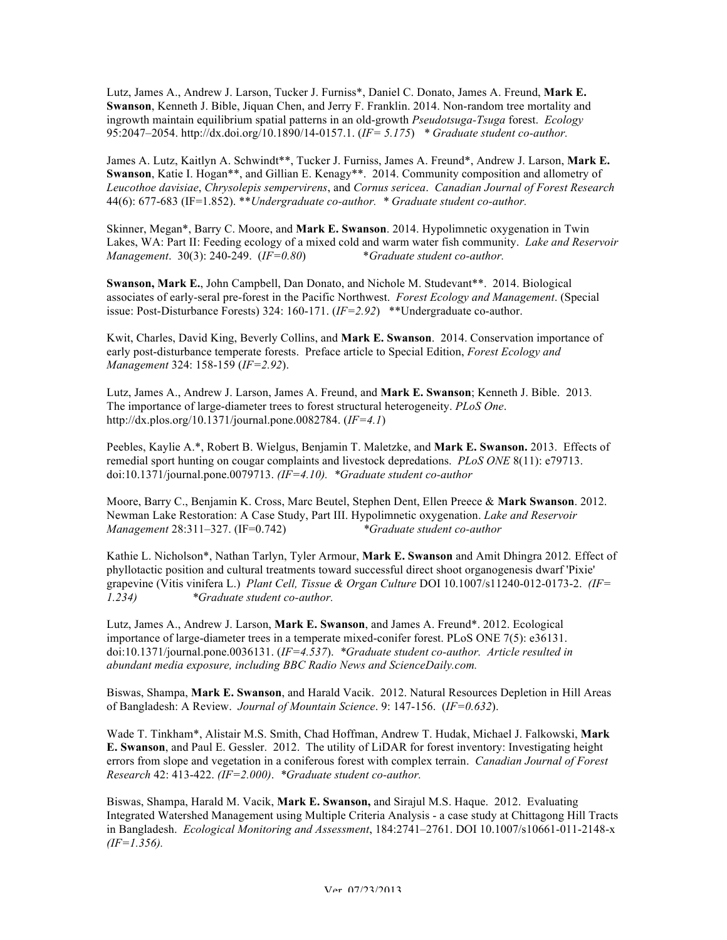Lutz, James A., Andrew J. Larson, Tucker J. Furniss\*, Daniel C. Donato, James A. Freund, **Mark E. Swanson**, Kenneth J. Bible, Jiquan Chen, and Jerry F. Franklin. 2014. Non-random tree mortality and ingrowth maintain equilibrium spatial patterns in an old-growth *Pseudotsuga-Tsuga* forest. *Ecology* 95:2047–2054. http://dx.doi.org/10.1890/14-0157.1. (*IF= 5.175*) *\* Graduate student co-author.* 

James A. Lutz, Kaitlyn A. Schwindt\*\*, Tucker J. Furniss, James A. Freund\*, Andrew J. Larson, **Mark E. Swanson**, Katie I. Hogan\*\*, and Gillian E. Kenagy\*\*. 2014. Community composition and allometry of *Leucothoe davisiae*, *Chrysolepis sempervirens*, and *Cornus sericea*. *Canadian Journal of Forest Research* 44(6): 677-683 (IF=1.852). \*\**Undergraduate co-author. \* Graduate student co-author.* 

Skinner, Megan\*, Barry C. Moore, and **Mark E. Swanson**. 2014. Hypolimnetic oxygenation in Twin Lakes, WA: Part II: Feeding ecology of a mixed cold and warm water fish community. *Lake and Reservoir Management*. 30(3): 240-249. (*IF=0.80*) \**Graduate student co-author.*

**Swanson, Mark E.**, John Campbell, Dan Donato, and Nichole M. Studevant\*\*. 2014. Biological associates of early-seral pre-forest in the Pacific Northwest. *Forest Ecology and Management*. (Special issue: Post-Disturbance Forests) 324: 160-171. (*IF=2.92*) \*\*Undergraduate co-author.

Kwit, Charles, David King, Beverly Collins, and **Mark E. Swanson**. 2014. Conservation importance of early post-disturbance temperate forests. Preface article to Special Edition, *Forest Ecology and Management* 324: 158-159 (*IF=2.92*).

Lutz, James A., Andrew J. Larson, James A. Freund, and **Mark E. Swanson**; Kenneth J. Bible. 2013*.* The importance of large-diameter trees to forest structural heterogeneity. *PLoS One*. http://dx.plos.org/10.1371/journal.pone.0082784. (*IF=4.1*)

Peebles, Kaylie A.\*, Robert B. Wielgus, Benjamin T. Maletzke, and **Mark E. Swanson.** 2013.Effects of remedial sport hunting on cougar complaints and livestock depredations. *PLoS ONE* 8(11): e79713. doi:10.1371/journal.pone.0079713. *(IF=4.10). \*Graduate student co-author*

Moore, Barry C., Benjamin K. Cross, Marc Beutel, Stephen Dent, Ellen Preece & **Mark Swanson**. 2012. Newman Lake Restoration: A Case Study, Part III. Hypolimnetic oxygenation. *Lake and Reservoir Management* 28:311–327. (IF=0.742) *\*Graduate student co-author*

Kathie L. Nicholson\*, Nathan Tarlyn, Tyler Armour, **Mark E. Swanson** and Amit Dhingra 2012*.* Effect of phyllotactic position and cultural treatments toward successful direct shoot organogenesis dwarf 'Pixie' grapevine (Vitis vinifera L.) *Plant Cell, Tissue & Organ Culture* DOI 10.1007/s11240-012-0173-2. *(IF= 1.234) \*Graduate student co-author.* 

Lutz, James A., Andrew J. Larson, **Mark E. Swanson**, and James A. Freund\*. 2012. Ecological importance of large-diameter trees in a temperate mixed-conifer forest. PLoS ONE 7(5): e36131. doi:10.1371/journal.pone.0036131. (*IF=4.537*). *\*Graduate student co-author. Article resulted in abundant media exposure, including BBC Radio News and ScienceDaily.com.* 

Biswas, Shampa, **Mark E. Swanson**, and Harald Vacik. 2012. Natural Resources Depletion in Hill Areas of Bangladesh: A Review. *Journal of Mountain Science*. 9: 147-156. (*IF=0.632*).

Wade T. Tinkham\*, Alistair M.S. Smith, Chad Hoffman, Andrew T. Hudak, Michael J. Falkowski, **Mark E. Swanson**, and Paul E. Gessler. 2012. The utility of LiDAR for forest inventory: Investigating height errors from slope and vegetation in a coniferous forest with complex terrain. *Canadian Journal of Forest Research* 42: 413-422. *(IF=2.000)*. *\*Graduate student co-author.* 

Biswas, Shampa, Harald M. Vacik, **Mark E. Swanson,** and Sirajul M.S. Haque. 2012.Evaluating Integrated Watershed Management using Multiple Criteria Analysis - a case study at Chittagong Hill Tracts in Bangladesh. *Ecological Monitoring and Assessment*, 184:2741–2761. DOI 10.1007/s10661-011-2148-x *(IF=1.356).*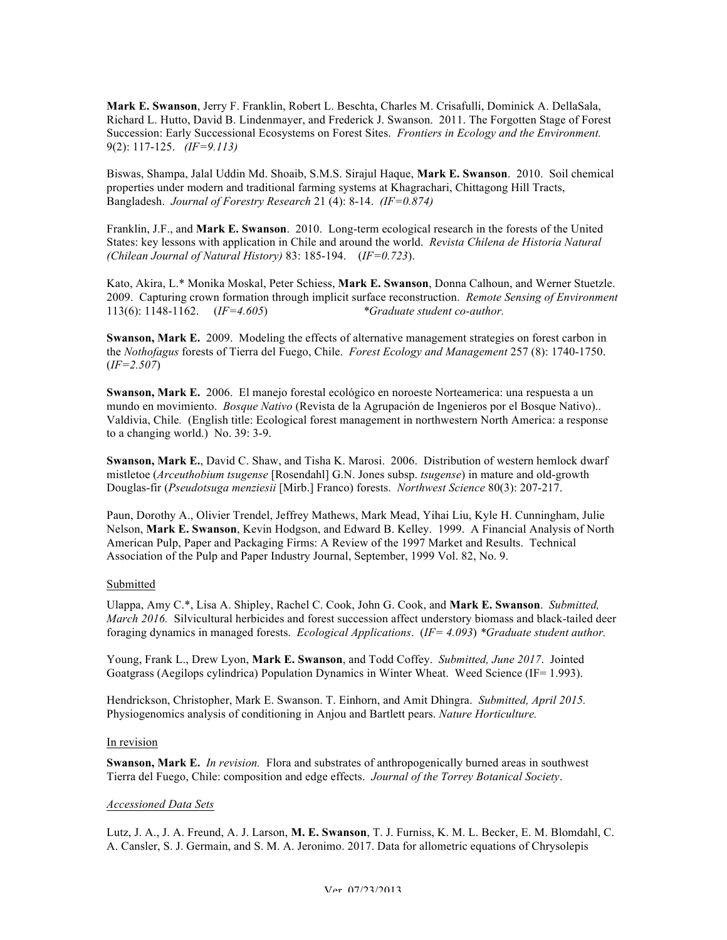**Mark E. Swanson**, Jerry F. Franklin, Robert L. Beschta, Charles M. Crisafulli, Dominick A. DellaSala, Richard L. Hutto, David B. Lindenmayer, and Frederick J. Swanson. 2011. The Forgotten Stage of Forest Succession: Early Successional Ecosystems on Forest Sites. *Frontiers in Ecology and the Environment.*  9(2): 117-125. *(IF=9.113)*

Biswas, Shampa, Jalal Uddin Md. Shoaib, S.M.S. Sirajul Haque, **Mark E. Swanson**. 2010. Soil chemical properties under modern and traditional farming systems at Khagrachari, Chittagong Hill Tracts, Bangladesh. *Journal of Forestry Research* 21 (4): 8-14. *(IF=0.874)*

Franklin, J.F., and **Mark E. Swanson**. 2010.Long-term ecological research in the forests of the United States: key lessons with application in Chile and around the world. *Revista Chilena de Historia Natural (Chilean Journal of Natural History)* 83: 185-194. (*IF=0.723*).

Kato, Akira, L.\* Monika Moskal, Peter Schiess, **Mark E. Swanson**, Donna Calhoun, and Werner Stuetzle. 2009.Capturing crown formation through implicit surface reconstruction. *Remote Sensing of Environment* 113(6): 1148-1162. (*IF=4.605*) *\*Graduate student co-author.* 

**Swanson, Mark E.** 2009.Modeling the effects of alternative management strategies on forest carbon in the *Nothofagus* forests of Tierra del Fuego, Chile. *Forest Ecology and Management* 257 (8): 1740-1750. (*IF=2.507*)

**Swanson, Mark E.** 2006. El manejo forestal ecológico en noroeste Norteamerica: una respuesta a un mundo en movimiento. *Bosque Nativo* (Revista de la Agrupación de Ingenieros por el Bosque Nativo).. Valdivia, Chile*.* (English title: Ecological forest management in northwestern North America: a response to a changing world.) No. 39: 3-9.

**Swanson, Mark E.**, David C. Shaw, and Tisha K. Marosi. 2006.Distribution of western hemlock dwarf mistletoe (*Arceuthobium tsugense* [Rosendahl] G.N. Jones subsp. *tsugense*) in mature and old-growth Douglas-fir (*Pseudotsuga menziesii* [Mirb.] Franco) forests. *Northwest Science* 80(3): 207-217.

Paun, Dorothy A., Olivier Trendel, Jeffrey Mathews, Mark Mead, Yihai Liu, Kyle H. Cunningham, Julie Nelson, **Mark E. Swanson**, Kevin Hodgson, and Edward B. Kelley. 1999. A Financial Analysis of North American Pulp, Paper and Packaging Firms: A Review of the 1997 Market and Results. Technical Association of the Pulp and Paper Industry Journal, September, 1999 Vol. 82, No. 9.

### Submitted

Ulappa, Amy C.\*, Lisa A. Shipley, Rachel C. Cook, John G. Cook, and **Mark E. Swanson**. *Submitted, March 2016.* Silvicultural herbicides and forest succession affect understory biomass and black-tailed deer foraging dynamics in managed forests. *Ecological Applications*. (*IF= 4.093*) *\*Graduate student author.*

Young, Frank L., Drew Lyon, **Mark E. Swanson**, and Todd Coffey. *Submitted, June 2017*. Jointed Goatgrass (Aegilops cylindrica) Population Dynamics in Winter Wheat. Weed Science (IF= 1.993).

Hendrickson, Christopher, Mark E. Swanson. T. Einhorn, and Amit Dhingra. *Submitted, April 2015.* Physiogenomics analysis of conditioning in Anjou and Bartlett pears. *Nature Horticulture.*

### In revision

**Swanson, Mark E.** *In revision.* Flora and substrates of anthropogenically burned areas in southwest Tierra del Fuego, Chile: composition and edge effects. *Journal of the Torrey Botanical Society*.

### *Accessioned Data Sets*

Lutz, J. A., J. A. Freund, A. J. Larson, **M. E. Swanson**, T. J. Furniss, K. M. L. Becker, E. M. Blomdahl, C. A. Cansler, S. J. Germain, and S. M. A. Jeronimo. 2017. Data for allometric equations of Chrysolepis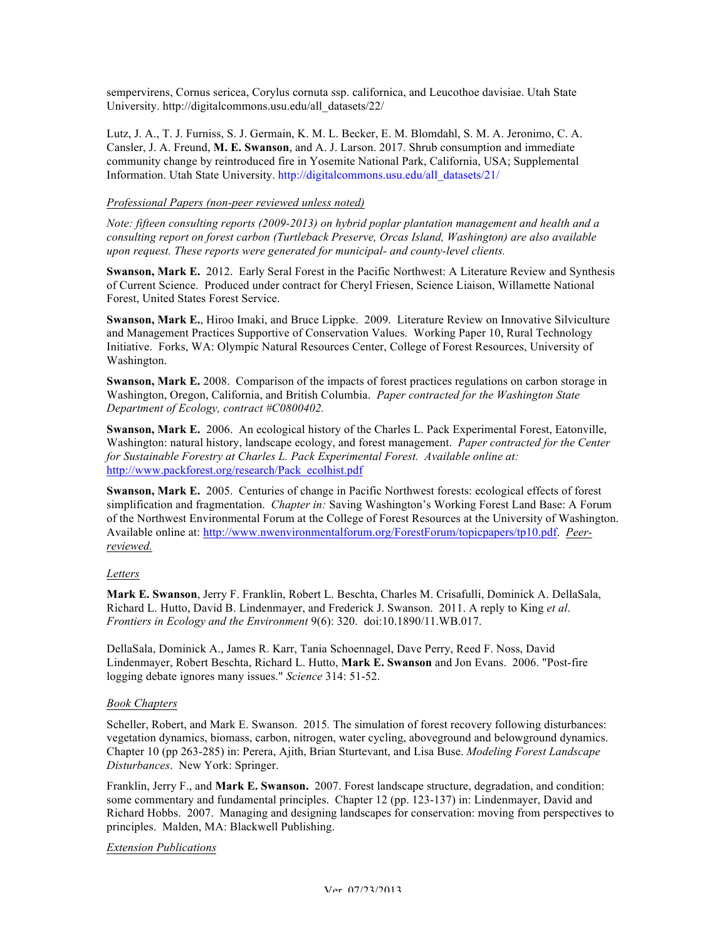sempervirens, Cornus sericea, Corylus cornuta ssp. californica, and Leucothoe davisiae. Utah State University. http://digitalcommons.usu.edu/all\_datasets/22/

Lutz, J. A., T. J. Furniss, S. J. Germain, K. M. L. Becker, E. M. Blomdahl, S. M. A. Jeronimo, C. A. Cansler, J. A. Freund, **M. E. Swanson**, and A. J. Larson. 2017. Shrub consumption and immediate community change by reintroduced fire in Yosemite National Park, California, USA; Supplemental Information. Utah State University. http://digitalcommons.usu.edu/all\_datasets/21/

### *Professional Papers (non-peer reviewed unless noted)*

*Note: fifteen consulting reports (2009-2013) on hybrid poplar plantation management and health and a consulting report on forest carbon (Turtleback Preserve, Orcas Island, Washington) are also available upon request. These reports were generated for municipal- and county-level clients.* 

**Swanson, Mark E.** 2012. Early Seral Forest in the Pacific Northwest: A Literature Review and Synthesis of Current Science. Produced under contract for Cheryl Friesen, Science Liaison, Willamette National Forest, United States Forest Service.

**Swanson, Mark E.**, Hiroo Imaki, and Bruce Lippke. 2009. Literature Review on Innovative Silviculture and Management Practices Supportive of Conservation Values. Working Paper 10, Rural Technology Initiative. Forks, WA: Olympic Natural Resources Center, College of Forest Resources, University of Washington.

**Swanson, Mark E.** 2008. Comparison of the impacts of forest practices regulations on carbon storage in Washington, Oregon, California, and British Columbia. *Paper contracted for the Washington State Department of Ecology, contract #C0800402.* 

**Swanson, Mark E.** 2006.An ecological history of the Charles L. Pack Experimental Forest, Eatonville, Washington: natural history, landscape ecology, and forest management. *Paper contracted for the Center for Sustainable Forestry at Charles L. Pack Experimental Forest. Available online at:*  http://www.packforest.org/research/Pack\_ecolhist.pdf

**Swanson, Mark E.** 2005. Centuries of change in Pacific Northwest forests: ecological effects of forest simplification and fragmentation. *Chapter in:* Saving Washington's Working Forest Land Base: A Forum of the Northwest Environmental Forum at the College of Forest Resources at the University of Washington. Available online at: http://www.nwenvironmentalforum.org/ForestForum/topicpapers/tp10.pdf. *Peerreviewed.*

### *Letters*

**Mark E. Swanson**, Jerry F. Franklin, Robert L. Beschta, Charles M. Crisafulli, Dominick A. DellaSala, Richard L. Hutto, David B. Lindenmayer, and Frederick J. Swanson. 2011. A reply to King *et al*. *Frontiers in Ecology and the Environment* 9(6): 320. doi:10.1890/11.WB.017.

DellaSala, Dominick A., James R. Karr, Tania Schoennagel, Dave Perry, Reed F. Noss, David Lindenmayer, Robert Beschta, Richard L. Hutto, **Mark E. Swanson** and Jon Evans. 2006. "Post-fire logging debate ignores many issues." *Science* 314: 51-52.

### *Book Chapters*

Scheller, Robert, and Mark E. Swanson. 2015*.* The simulation of forest recovery following disturbances: vegetation dynamics, biomass, carbon, nitrogen, water cycling, aboveground and belowground dynamics. Chapter 10 (pp 263-285) in: Perera, Ajith, Brian Sturtevant, and Lisa Buse. *Modeling Forest Landscape Disturbances*. New York: Springer.

Franklin, Jerry F., and **Mark E. Swanson.** 2007. Forest landscape structure, degradation, and condition: some commentary and fundamental principles. Chapter 12 (pp. 123-137) in: Lindenmayer, David and Richard Hobbs. 2007. Managing and designing landscapes for conservation: moving from perspectives to principles. Malden, MA: Blackwell Publishing.

### *Extension Publications*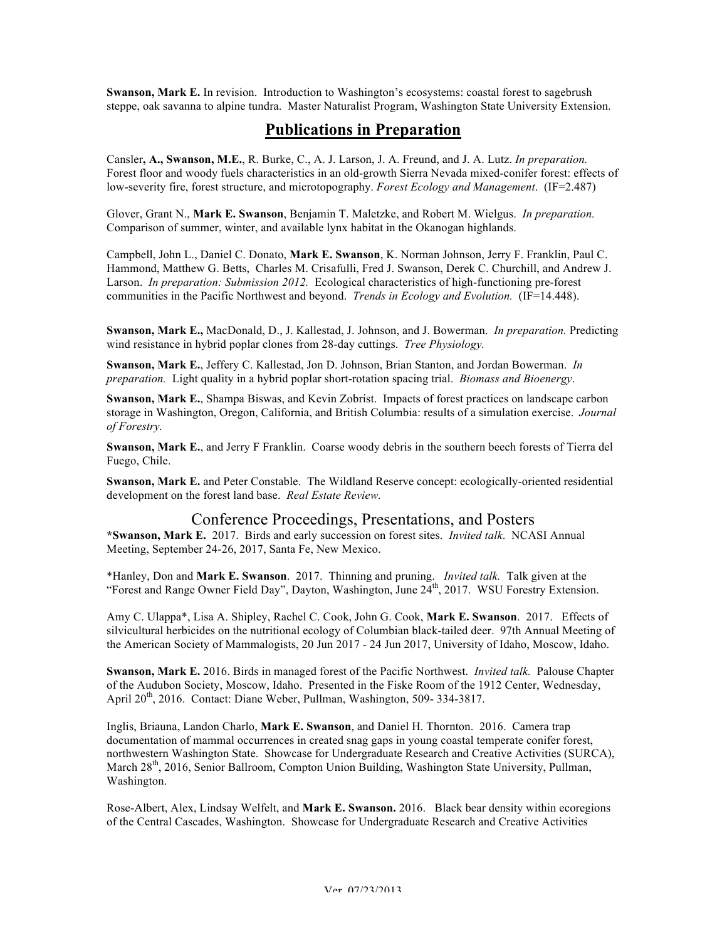**Swanson, Mark E.** In revision. Introduction to Washington's ecosystems: coastal forest to sagebrush steppe, oak savanna to alpine tundra. Master Naturalist Program, Washington State University Extension.

# **Publications in Preparation**

Cansler**, A., Swanson, M.E.**, R. Burke, C., A. J. Larson, J. A. Freund, and J. A. Lutz. *In preparation.* Forest floor and woody fuels characteristics in an old-growth Sierra Nevada mixed-conifer forest: effects of low-severity fire, forest structure, and microtopography. *Forest Ecology and Management*. (IF=2.487)

Glover, Grant N., **Mark E. Swanson**, Benjamin T. Maletzke, and Robert M. Wielgus. *In preparation.* Comparison of summer, winter, and available lynx habitat in the Okanogan highlands.

Campbell, John L., Daniel C. Donato, **Mark E. Swanson**, K. Norman Johnson, Jerry F. Franklin, Paul C. Hammond, Matthew G. Betts, Charles M. Crisafulli, Fred J. Swanson, Derek C. Churchill, and Andrew J. Larson. *In preparation: Submission 2012.* Ecological characteristics of high-functioning pre-forest communities in the Pacific Northwest and beyond. *Trends in Ecology and Evolution.* (IF=14.448).

**Swanson, Mark E.,** MacDonald, D., J. Kallestad, J. Johnson, and J. Bowerman.*In preparation.* Predicting wind resistance in hybrid poplar clones from 28-day cuttings. *Tree Physiology.*

**Swanson, Mark E.**, Jeffery C. Kallestad, Jon D. Johnson, Brian Stanton, and Jordan Bowerman. *In preparation.* Light quality in a hybrid poplar short-rotation spacing trial. *Biomass and Bioenergy*.

**Swanson, Mark E.**, Shampa Biswas, and Kevin Zobrist. Impacts of forest practices on landscape carbon storage in Washington, Oregon, California, and British Columbia: results of a simulation exercise. *Journal of Forestry.* 

**Swanson, Mark E.**, and Jerry F Franklin. Coarse woody debris in the southern beech forests of Tierra del Fuego, Chile.

**Swanson, Mark E.** and Peter Constable. The Wildland Reserve concept: ecologically-oriented residential development on the forest land base. *Real Estate Review.* 

### Conference Proceedings, Presentations, and Posters

**\*Swanson, Mark E.** 2017. Birds and early succession on forest sites. *Invited talk*. NCASI Annual Meeting, September 24-26, 2017, Santa Fe, New Mexico.

\*Hanley, Don and **Mark E. Swanson**. 2017. Thinning and pruning. *Invited talk.* Talk given at the "Forest and Range Owner Field Day", Dayton, Washington, June  $24<sup>th</sup>$ , 2017. WSU Forestry Extension.

Amy C. Ulappa\*, Lisa A. Shipley, Rachel C. Cook, John G. Cook, **Mark E. Swanson**. 2017. Effects of silvicultural herbicides on the nutritional ecology of Columbian black-tailed deer. 97th Annual Meeting of the American Society of Mammalogists, 20 Jun 2017 - 24 Jun 2017, University of Idaho, Moscow, Idaho.

**Swanson, Mark E.** 2016. Birds in managed forest of the Pacific Northwest. *Invited talk.* Palouse Chapter of the Audubon Society, Moscow, Idaho. Presented in the Fiske Room of the 1912 Center, Wednesday, April 20<sup>th</sup>, 2016. Contact: Diane Weber, Pullman, Washington, 509-334-3817.

Inglis, Briauna, Landon Charlo, **Mark E. Swanson**, and Daniel H. Thornton. 2016. Camera trap documentation of mammal occurrences in created snag gaps in young coastal temperate conifer forest, northwestern Washington State. Showcase for Undergraduate Research and Creative Activities (SURCA), March 28<sup>th</sup>, 2016, Senior Ballroom, Compton Union Building, Washington State University, Pullman, Washington.

Rose-Albert, Alex, Lindsay Welfelt, and **Mark E. Swanson.** 2016.Black bear density within ecoregions of the Central Cascades, Washington. Showcase for Undergraduate Research and Creative Activities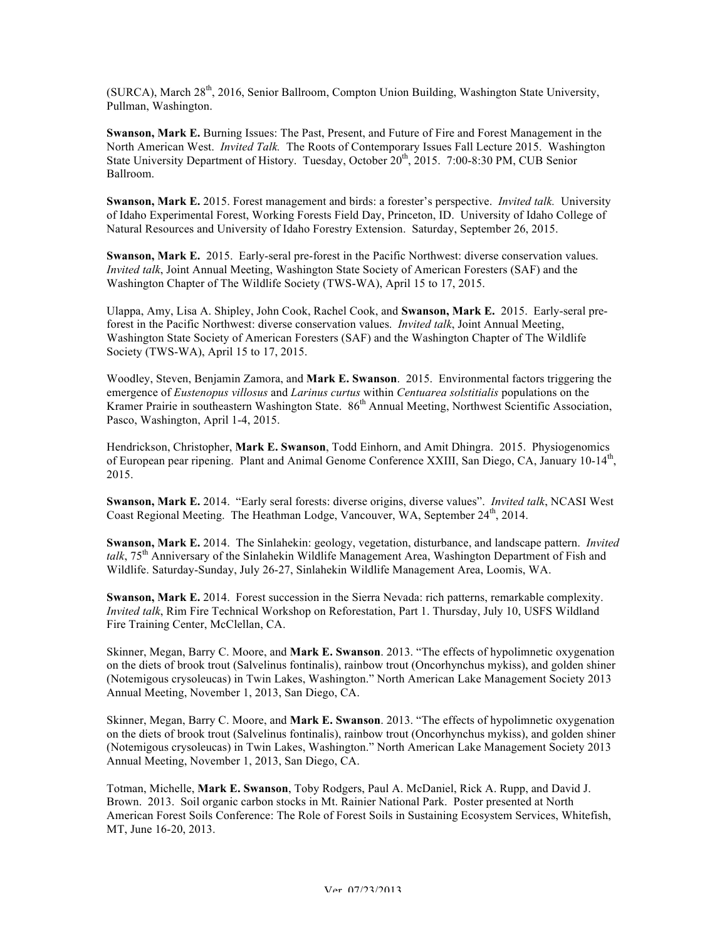(SURCA), March 28<sup>th</sup>, 2016, Senior Ballroom, Compton Union Building, Washington State University, Pullman, Washington.

**Swanson, Mark E.** Burning Issues: The Past, Present, and Future of Fire and Forest Management in the North American West. *Invited Talk.* The Roots of Contemporary Issues Fall Lecture 2015. Washington State University Department of History. Tuesday, October 20<sup>th</sup>, 2015. 7:00-8:30 PM, CUB Senior Ballroom.

**Swanson, Mark E.** 2015. Forest management and birds: a forester's perspective. *Invited talk.* University of Idaho Experimental Forest, Working Forests Field Day, Princeton, ID. University of Idaho College of Natural Resources and University of Idaho Forestry Extension. Saturday, September 26, 2015.

**Swanson, Mark E.** 2015. Early-seral pre-forest in the Pacific Northwest: diverse conservation values. *Invited talk*, Joint Annual Meeting, Washington State Society of American Foresters (SAF) and the Washington Chapter of The Wildlife Society (TWS-WA), April 15 to 17, 2015.

Ulappa, Amy, Lisa A. Shipley, John Cook, Rachel Cook, and **Swanson, Mark E.** 2015. Early-seral preforest in the Pacific Northwest: diverse conservation values. *Invited talk*, Joint Annual Meeting, Washington State Society of American Foresters (SAF) and the Washington Chapter of The Wildlife Society (TWS-WA), April 15 to 17, 2015.

Woodley, Steven, Benjamin Zamora, and **Mark E. Swanson**. 2015. Environmental factors triggering the emergence of *Eustenopus villosus* and *Larinus curtus* within *Centuarea solstitialis* populations on the Kramer Prairie in southeastern Washington State. 86<sup>th</sup> Annual Meeting, Northwest Scientific Association, Pasco, Washington, April 1-4, 2015.

Hendrickson, Christopher, **Mark E. Swanson**, Todd Einhorn, and Amit Dhingra. 2015. Physiogenomics of European pear ripening. Plant and Animal Genome Conference XXIII, San Diego, CA, January 10-14<sup>th</sup>, 2015.

**Swanson, Mark E.** 2014. "Early seral forests: diverse origins, diverse values". *Invited talk*, NCASI West Coast Regional Meeting. The Heathman Lodge, Vancouver, WA, September 24<sup>th</sup>, 2014.

**Swanson, Mark E.** 2014. The Sinlahekin: geology, vegetation, disturbance, and landscape pattern. *Invited talk*, 75<sup>th</sup> Anniversary of the Sinlahekin Wildlife Management Area, Washington Department of Fish and Wildlife. Saturday-Sunday, July 26-27, Sinlahekin Wildlife Management Area, Loomis, WA.

**Swanson, Mark E.** 2014. Forest succession in the Sierra Nevada: rich patterns, remarkable complexity. *Invited talk*, Rim Fire Technical Workshop on Reforestation, Part 1. Thursday, July 10, USFS Wildland Fire Training Center, McClellan, CA.

Skinner, Megan, Barry C. Moore, and **Mark E. Swanson**. 2013. "The effects of hypolimnetic oxygenation on the diets of brook trout (Salvelinus fontinalis), rainbow trout (Oncorhynchus mykiss), and golden shiner (Notemigous crysoleucas) in Twin Lakes, Washington." North American Lake Management Society 2013 Annual Meeting, November 1, 2013, San Diego, CA.

Skinner, Megan, Barry C. Moore, and **Mark E. Swanson**. 2013. "The effects of hypolimnetic oxygenation on the diets of brook trout (Salvelinus fontinalis), rainbow trout (Oncorhynchus mykiss), and golden shiner (Notemigous crysoleucas) in Twin Lakes, Washington." North American Lake Management Society 2013 Annual Meeting, November 1, 2013, San Diego, CA.

Totman, Michelle, **Mark E. Swanson**, Toby Rodgers, Paul A. McDaniel, Rick A. Rupp, and David J. Brown. 2013. Soil organic carbon stocks in Mt. Rainier National Park. Poster presented at North American Forest Soils Conference: The Role of Forest Soils in Sustaining Ecosystem Services, Whitefish, MT, June 16-20, 2013.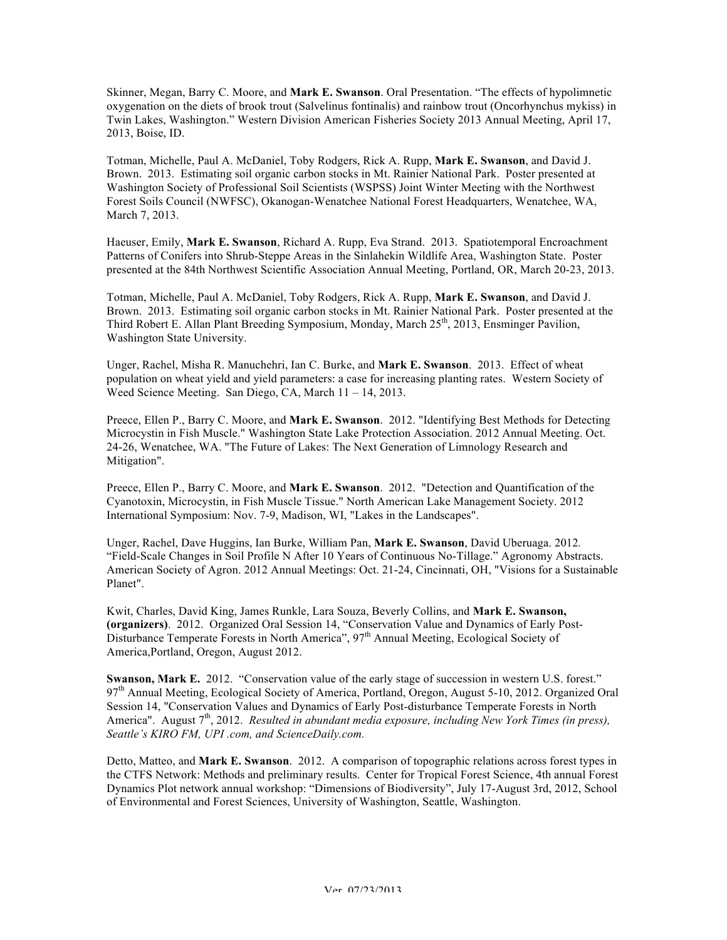Skinner, Megan, Barry C. Moore, and **Mark E. Swanson**. Oral Presentation. "The effects of hypolimnetic oxygenation on the diets of brook trout (Salvelinus fontinalis) and rainbow trout (Oncorhynchus mykiss) in Twin Lakes, Washington." Western Division American Fisheries Society 2013 Annual Meeting, April 17, 2013, Boise, ID.

Totman, Michelle, Paul A. McDaniel, Toby Rodgers, Rick A. Rupp, **Mark E. Swanson**, and David J. Brown. 2013. Estimating soil organic carbon stocks in Mt. Rainier National Park. Poster presented at Washington Society of Professional Soil Scientists (WSPSS) Joint Winter Meeting with the Northwest Forest Soils Council (NWFSC), Okanogan-Wenatchee National Forest Headquarters, Wenatchee, WA, March 7, 2013.

Haeuser, Emily, **Mark E. Swanson**, Richard A. Rupp, Eva Strand. 2013. Spatiotemporal Encroachment Patterns of Conifers into Shrub-Steppe Areas in the Sinlahekin Wildlife Area, Washington State. Poster presented at the 84th Northwest Scientific Association Annual Meeting, Portland, OR, March 20-23, 2013.

Totman, Michelle, Paul A. McDaniel, Toby Rodgers, Rick A. Rupp, **Mark E. Swanson**, and David J. Brown. 2013. Estimating soil organic carbon stocks in Mt. Rainier National Park. Poster presented at the Third Robert E. Allan Plant Breeding Symposium, Monday, March  $25<sup>th</sup>$ , 2013, Ensminger Pavilion, Washington State University.

Unger, Rachel, Misha R. Manuchehri, Ian C. Burke, and **Mark E. Swanson**. 2013. Effect of wheat population on wheat yield and yield parameters: a case for increasing planting rates. Western Society of Weed Science Meeting. San Diego, CA, March 11 – 14, 2013.

Preece, Ellen P., Barry C. Moore, and **Mark E. Swanson**. 2012. "Identifying Best Methods for Detecting Microcystin in Fish Muscle." Washington State Lake Protection Association. 2012 Annual Meeting. Oct. 24-26, Wenatchee, WA. "The Future of Lakes: The Next Generation of Limnology Research and Mitigation".

Preece, Ellen P., Barry C. Moore, and **Mark E. Swanson**. 2012. "Detection and Quantification of the Cyanotoxin, Microcystin, in Fish Muscle Tissue." North American Lake Management Society. 2012 International Symposium: Nov. 7-9, Madison, WI, "Lakes in the Landscapes".

Unger, Rachel, Dave Huggins, Ian Burke, William Pan, **Mark E. Swanson**, David Uberuaga. 2012*.*  "Field-Scale Changes in Soil Profile N After 10 Years of Continuous No-Tillage." Agronomy Abstracts. American Society of Agron. 2012 Annual Meetings: Oct. 21-24, Cincinnati, OH, "Visions for a Sustainable Planet".

Kwit, Charles, David King, James Runkle, Lara Souza, Beverly Collins, and **Mark E. Swanson, (organizers)**. 2012. Organized Oral Session 14, "Conservation Value and Dynamics of Early Post-Disturbance Temperate Forests in North America", 97<sup>th</sup> Annual Meeting, Ecological Society of America,Portland, Oregon, August 2012.

**Swanson, Mark E.** 2012. "Conservation value of the early stage of succession in western U.S. forest." 97th Annual Meeting, Ecological Society of America, Portland, Oregon, August 5-10, 2012. Organized Oral Session 14, "Conservation Values and Dynamics of Early Post-disturbance Temperate Forests in North America". August 7<sup>th</sup>, 2012. *Resulted in abundant media exposure, including New York Times (in press), Seattle's KIRO FM, UPI .com, and ScienceDaily.com.* 

Detto, Matteo, and **Mark E. Swanson**. 2012. A comparison of topographic relations across forest types in the CTFS Network: Methods and preliminary results. Center for Tropical Forest Science, 4th annual Forest Dynamics Plot network annual workshop: "Dimensions of Biodiversity", July 17-August 3rd, 2012, School of Environmental and Forest Sciences, University of Washington, Seattle, Washington.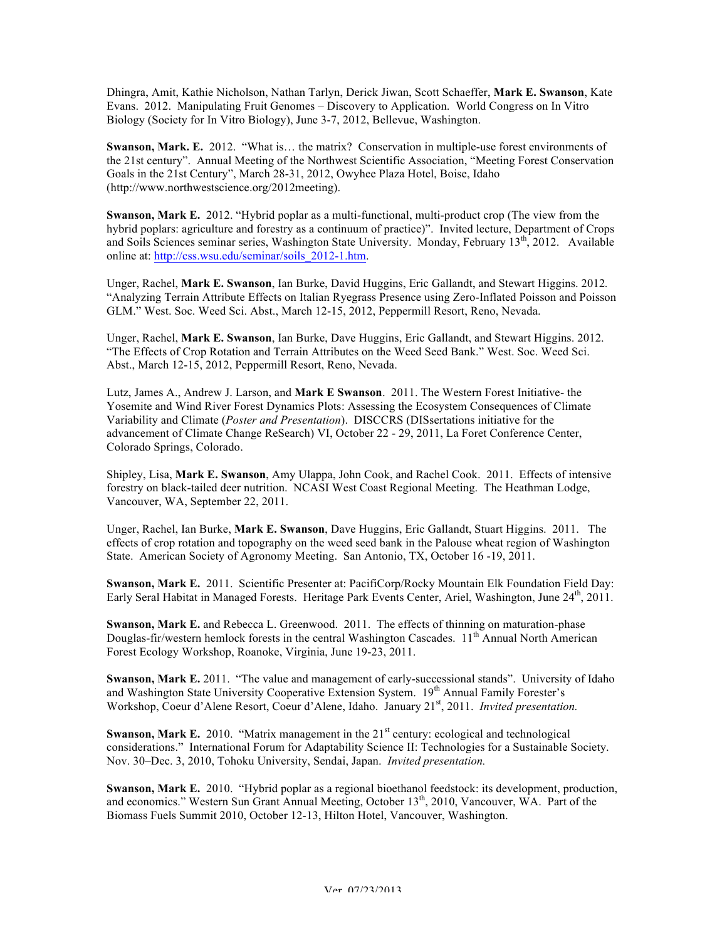Dhingra, Amit, Kathie Nicholson, Nathan Tarlyn, Derick Jiwan, Scott Schaeffer, **Mark E. Swanson**, Kate Evans. 2012. Manipulating Fruit Genomes – Discovery to Application. World Congress on In Vitro Biology (Society for In Vitro Biology), June 3-7, 2012, Bellevue, Washington.

**Swanson, Mark. E.** 2012. "What is… the matrix? Conservation in multiple-use forest environments of the 21st century". Annual Meeting of the Northwest Scientific Association, "Meeting Forest Conservation Goals in the 21st Century", March 28-31, 2012, Owyhee Plaza Hotel, Boise, Idaho (http://www.northwestscience.org/2012meeting).

**Swanson, Mark E.** 2012. "Hybrid poplar as a multi-functional, multi-product crop (The view from the hybrid poplars: agriculture and forestry as a continuum of practice)". Invited lecture, Department of Crops and Soils Sciences seminar series, Washington State University. Monday, February 13th, 2012. Available online at: http://css.wsu.edu/seminar/soils\_2012-1.htm.

Unger, Rachel, **Mark E. Swanson**, Ian Burke, David Huggins, Eric Gallandt, and Stewart Higgins. 2012*.*  "Analyzing Terrain Attribute Effects on Italian Ryegrass Presence using Zero-Inflated Poisson and Poisson GLM." West. Soc. Weed Sci. Abst., March 12-15, 2012, Peppermill Resort, Reno, Nevada.

Unger, Rachel, **Mark E. Swanson**, Ian Burke, Dave Huggins, Eric Gallandt, and Stewart Higgins. 2012. "The Effects of Crop Rotation and Terrain Attributes on the Weed Seed Bank." West. Soc. Weed Sci. Abst., March 12-15, 2012, Peppermill Resort, Reno, Nevada.

Lutz, James A., Andrew J. Larson, and **Mark E Swanson**. 2011. The Western Forest Initiative- the Yosemite and Wind River Forest Dynamics Plots: Assessing the Ecosystem Consequences of Climate Variability and Climate (*Poster and Presentation*). DISCCRS (DISsertations initiative for the advancement of Climate Change ReSearch) VI, October 22 - 29, 2011, La Foret Conference Center, Colorado Springs, Colorado.

Shipley, Lisa, **Mark E. Swanson**, Amy Ulappa, John Cook, and Rachel Cook. 2011. Effects of intensive forestry on black-tailed deer nutrition. NCASI West Coast Regional Meeting. The Heathman Lodge, Vancouver, WA, September 22, 2011.

Unger, Rachel, Ian Burke, **Mark E. Swanson**, Dave Huggins, Eric Gallandt, Stuart Higgins. 2011. The effects of crop rotation and topography on the weed seed bank in the Palouse wheat region of Washington State. American Society of Agronomy Meeting. San Antonio, TX, October 16 -19, 2011.

**Swanson, Mark E.** 2011. Scientific Presenter at: PacifiCorp/Rocky Mountain Elk Foundation Field Day: Early Seral Habitat in Managed Forests. Heritage Park Events Center, Ariel, Washington, June 24<sup>th</sup>, 2011.

**Swanson, Mark E.** and Rebecca L. Greenwood. 2011.The effects of thinning on maturation-phase Douglas-fir/western hemlock forests in the central Washington Cascades.  $11<sup>th</sup>$  Annual North American Forest Ecology Workshop, Roanoke, Virginia, June 19-23, 2011.

**Swanson, Mark E.** 2011. "The value and management of early-successional stands". University of Idaho and Washington State University Cooperative Extension System. 19<sup>th</sup> Annual Family Forester's Workshop, Coeur d'Alene Resort, Coeur d'Alene, Idaho. January 21<sup>st</sup>, 2011. *Invited presentation*.

**Swanson, Mark E.** 2010. "Matrix management in the 21<sup>st</sup> century: ecological and technological considerations." International Forum for Adaptability Science II: Technologies for a Sustainable Society. Nov. 30–Dec. 3, 2010, Tohoku University, Sendai, Japan. *Invited presentation.*

**Swanson, Mark E.** 2010. "Hybrid poplar as a regional bioethanol feedstock: its development, production, and economics." Western Sun Grant Annual Meeting, October 13<sup>th</sup>, 2010, Vancouver, WA. Part of the Biomass Fuels Summit 2010, October 12-13, Hilton Hotel, Vancouver, Washington.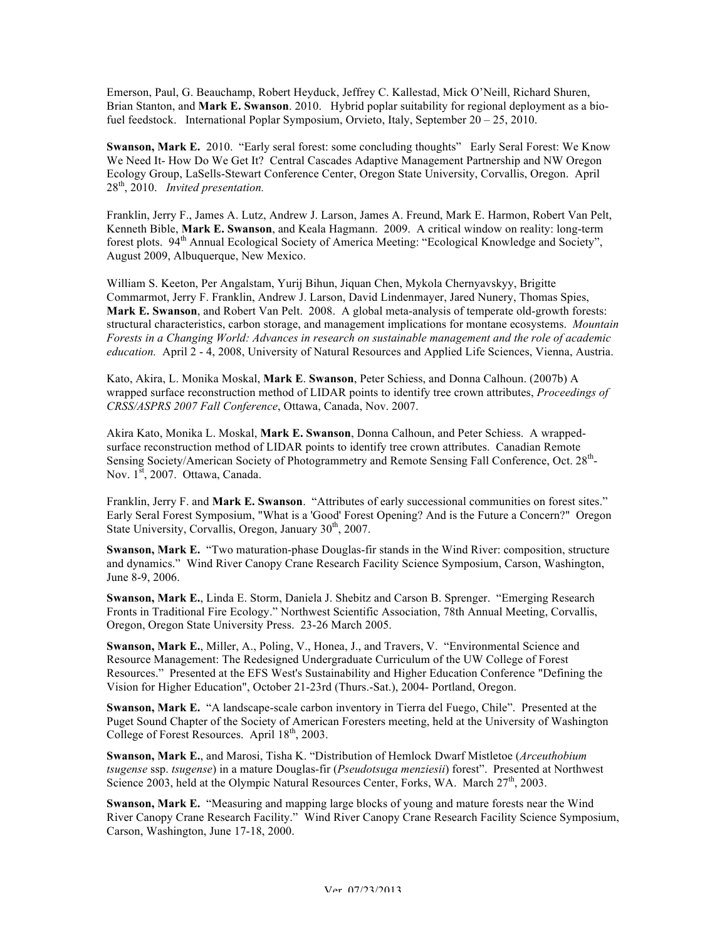Emerson, Paul, G. Beauchamp, Robert Heyduck, Jeffrey C. Kallestad, Mick O'Neill, Richard Shuren, Brian Stanton, and **Mark E. Swanson**. 2010. Hybrid poplar suitability for regional deployment as a biofuel feedstock. International Poplar Symposium, Orvieto, Italy, September 20 – 25, 2010.

**Swanson, Mark E.** 2010. "Early seral forest: some concluding thoughts" Early Seral Forest: We Know We Need It- How Do We Get It? Central Cascades Adaptive Management Partnership and NW Oregon Ecology Group, LaSells-Stewart Conference Center, Oregon State University, Corvallis, Oregon. April 28th, 2010. *Invited presentation.* 

Franklin, Jerry F., James A. Lutz, Andrew J. Larson, James A. Freund, Mark E. Harmon, Robert Van Pelt, Kenneth Bible, **Mark E. Swanson**, and Keala Hagmann. 2009.A critical window on reality: long-term forest plots. 94<sup>th</sup> Annual Ecological Society of America Meeting: "Ecological Knowledge and Society", August 2009, Albuquerque, New Mexico.

William S. Keeton, Per Angalstam, Yurij Bihun, Jiquan Chen, Mykola Chernyavskyy, Brigitte Commarmot, Jerry F. Franklin, Andrew J. Larson, David Lindenmayer, Jared Nunery, Thomas Spies, **Mark E. Swanson**, and Robert Van Pelt. 2008. A global meta-analysis of temperate old-growth forests: structural characteristics, carbon storage, and management implications for montane ecosystems. *Mountain Forests in a Changing World: Advances in research on sustainable management and the role of academic education.* April 2 - 4, 2008, University of Natural Resources and Applied Life Sciences, Vienna, Austria.

Kato, Akira, L. Monika Moskal, **Mark E**. **Swanson**, Peter Schiess, and Donna Calhoun. (2007b) A wrapped surface reconstruction method of LIDAR points to identify tree crown attributes, *Proceedings of CRSS/ASPRS 2007 Fall Conference*, Ottawa, Canada, Nov. 2007.

Akira Kato, Monika L. Moskal, **Mark E. Swanson**, Donna Calhoun, and Peter Schiess. A wrappedsurface reconstruction method of LIDAR points to identify tree crown attributes. Canadian Remote Sensing Society/American Society of Photogrammetry and Remote Sensing Fall Conference, Oct. 28<sup>th</sup>-Nov. 1<sup>st</sup>, 2007. Ottawa, Canada.

Franklin, Jerry F. and **Mark E. Swanson**. "Attributes of early successional communities on forest sites." Early Seral Forest Symposium, "What is a 'Good' Forest Opening? And is the Future a Concern?" Oregon State University, Corvallis, Oregon, January 30<sup>th</sup>, 2007.

**Swanson, Mark E.** "Two maturation-phase Douglas-fir stands in the Wind River: composition, structure and dynamics." Wind River Canopy Crane Research Facility Science Symposium, Carson, Washington, June 8-9, 2006.

**Swanson, Mark E.**, Linda E. Storm, Daniela J. Shebitz and Carson B. Sprenger. "Emerging Research Fronts in Traditional Fire Ecology." Northwest Scientific Association, 78th Annual Meeting, Corvallis, Oregon, Oregon State University Press. 23-26 March 2005.

**Swanson, Mark E.**, Miller, A., Poling, V., Honea, J., and Travers, V. "Environmental Science and Resource Management: The Redesigned Undergraduate Curriculum of the UW College of Forest Resources." Presented at the EFS West's Sustainability and Higher Education Conference "Defining the Vision for Higher Education", October 21-23rd (Thurs.-Sat.), 2004- Portland, Oregon.

**Swanson, Mark E.** "A landscape-scale carbon inventory in Tierra del Fuego, Chile". Presented at the Puget Sound Chapter of the Society of American Foresters meeting, held at the University of Washington College of Forest Resources. April  $18<sup>th</sup>$ , 2003.

**Swanson, Mark E.**, and Marosi, Tisha K. "Distribution of Hemlock Dwarf Mistletoe (*Arceuthobium tsugense* ssp. *tsugense*) in a mature Douglas-fir (*Pseudotsuga menziesii*) forest". Presented at Northwest Science 2003, held at the Olympic Natural Resources Center, Forks, WA. March  $27<sup>th</sup>$ , 2003.

**Swanson, Mark E.** "Measuring and mapping large blocks of young and mature forests near the Wind River Canopy Crane Research Facility." Wind River Canopy Crane Research Facility Science Symposium, Carson, Washington, June 17-18, 2000.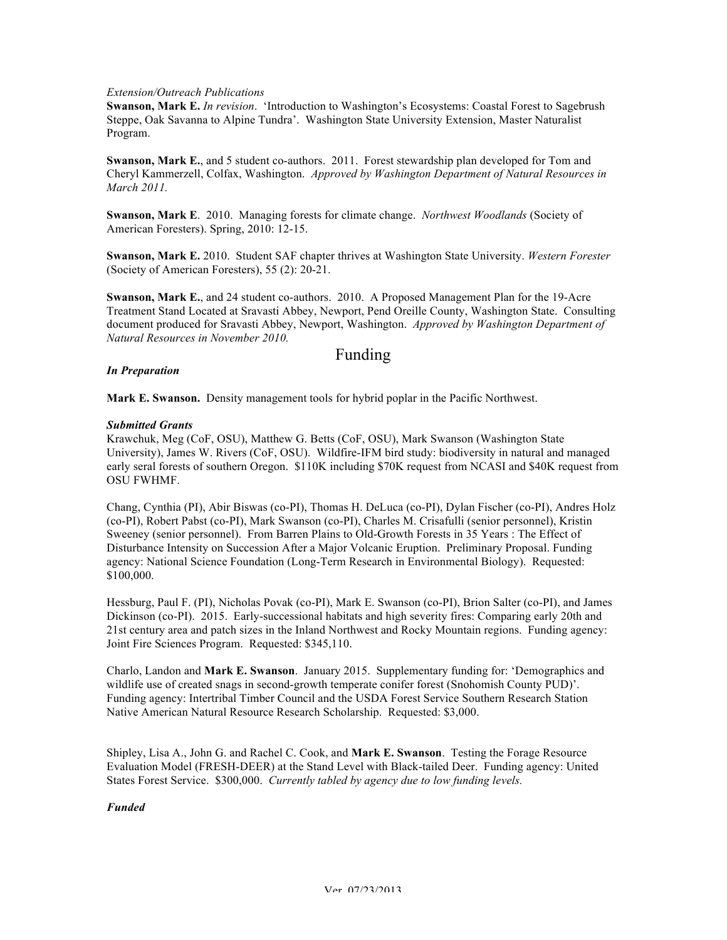### *Extension/Outreach Publications*

**Swanson, Mark E.** *In revision*. 'Introduction to Washington's Ecosystems: Coastal Forest to Sagebrush Steppe, Oak Savanna to Alpine Tundra'. Washington State University Extension, Master Naturalist Program.

**Swanson, Mark E.**, and 5 student co-authors. 2011. Forest stewardship plan developed for Tom and Cheryl Kammerzell, Colfax, Washington. *Approved by Washington Department of Natural Resources in March 2011.* 

**Swanson, Mark E**. 2010. Managing forests for climate change. *Northwest Woodlands* (Society of American Foresters). Spring, 2010: 12-15.

**Swanson, Mark E.** 2010. Student SAF chapter thrives at Washington State University. *Western Forester*  (Society of American Foresters), 55 (2): 20-21.

**Swanson, Mark E.**, and 24 student co-authors. 2010. A Proposed Management Plan for the 19-Acre Treatment Stand Located at Sravasti Abbey, Newport, Pend Oreille County, Washington State. Consulting document produced for Sravasti Abbey, Newport, Washington. *Approved by Washington Department of Natural Resources in November 2010.* 

### Funding

### *In Preparation*

**Mark E. Swanson.** Density management tools for hybrid poplar in the Pacific Northwest.

### *Submitted Grants*

Krawchuk, Meg (CoF, OSU), Matthew G. Betts (CoF, OSU), Mark Swanson (Washington State University), James W. Rivers (CoF, OSU). Wildfire-IFM bird study: biodiversity in natural and managed early seral forests of southern Oregon. \$110K including \$70K request from NCASI and \$40K request from OSU FWHMF.

Chang, Cynthia (PI), Abir Biswas (co-PI), Thomas H. DeLuca (co-PI), Dylan Fischer (co-PI), Andres Holz (co-PI), Robert Pabst (co-PI), Mark Swanson (co-PI), Charles M. Crisafulli (senior personnel), Kristin Sweeney (senior personnel). From Barren Plains to Old-Growth Forests in 35 Years : The Effect of Disturbance Intensity on Succession After a Major Volcanic Eruption. Preliminary Proposal. Funding agency: National Science Foundation (Long-Term Research in Environmental Biology). Requested: \$100,000.

Hessburg, Paul F. (PI), Nicholas Povak (co-PI), Mark E. Swanson (co-PI), Brion Salter (co-PI), and James Dickinson (co-PI). 2015. Early-successional habitats and high severity fires: Comparing early 20th and 21st century area and patch sizes in the Inland Northwest and Rocky Mountain regions. Funding agency: Joint Fire Sciences Program. Requested: \$345,110.

Charlo, Landon and **Mark E. Swanson**. January 2015. Supplementary funding for: 'Demographics and wildlife use of created snags in second-growth temperate conifer forest (Snohomish County PUD)'. Funding agency: Intertribal Timber Council and the USDA Forest Service Southern Research Station Native American Natural Resource Research Scholarship. Requested: \$3,000.

Shipley, Lisa A., John G. and Rachel C. Cook, and **Mark E. Swanson**. Testing the Forage Resource Evaluation Model (FRESH-DEER) at the Stand Level with Black-tailed Deer. Funding agency: United States Forest Service. \$300,000. *Currently tabled by agency due to low funding levels.* 

### *Funded*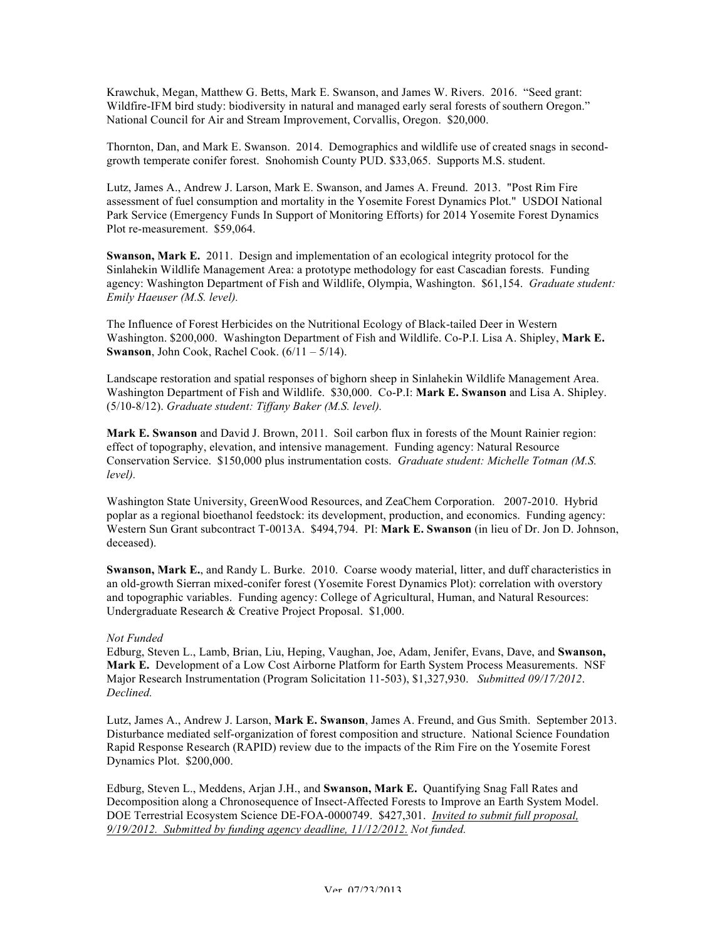Krawchuk, Megan, Matthew G. Betts, Mark E. Swanson, and James W. Rivers. 2016. "Seed grant: Wildfire-IFM bird study: biodiversity in natural and managed early seral forests of southern Oregon." National Council for Air and Stream Improvement, Corvallis, Oregon. \$20,000.

Thornton, Dan, and Mark E. Swanson. 2014. Demographics and wildlife use of created snags in secondgrowth temperate conifer forest. Snohomish County PUD. \$33,065. Supports M.S. student.

Lutz, James A., Andrew J. Larson, Mark E. Swanson, and James A. Freund. 2013. "Post Rim Fire assessment of fuel consumption and mortality in the Yosemite Forest Dynamics Plot." USDOI National Park Service (Emergency Funds In Support of Monitoring Efforts) for 2014 Yosemite Forest Dynamics Plot re-measurement. \$59,064.

**Swanson, Mark E.** 2011. Design and implementation of an ecological integrity protocol for the Sinlahekin Wildlife Management Area: a prototype methodology for east Cascadian forests. Funding agency: Washington Department of Fish and Wildlife, Olympia, Washington. \$61,154. *Graduate student: Emily Haeuser (M.S. level).*

The Influence of Forest Herbicides on the Nutritional Ecology of Black-tailed Deer in Western Washington. \$200,000. Washington Department of Fish and Wildlife. Co-P.I. Lisa A. Shipley, **Mark E. Swanson**, John Cook, Rachel Cook. (6/11 – 5/14).

Landscape restoration and spatial responses of bighorn sheep in Sinlahekin Wildlife Management Area. Washington Department of Fish and Wildlife. \$30,000. Co-P.I: **Mark E. Swanson** and Lisa A. Shipley. (5/10-8/12). *Graduate student: Tiffany Baker (M.S. level).*

**Mark E. Swanson** and David J. Brown, 2011. Soil carbon flux in forests of the Mount Rainier region: effect of topography, elevation, and intensive management. Funding agency: Natural Resource Conservation Service. \$150,000 plus instrumentation costs. *Graduate student: Michelle Totman (M.S. level).*

Washington State University, GreenWood Resources, and ZeaChem Corporation. 2007-2010. Hybrid poplar as a regional bioethanol feedstock: its development, production, and economics. Funding agency: Western Sun Grant subcontract T-0013A. \$494,794. PI: **Mark E. Swanson** (in lieu of Dr. Jon D. Johnson, deceased).

**Swanson, Mark E.**, and Randy L. Burke. 2010. Coarse woody material, litter, and duff characteristics in an old-growth Sierran mixed-conifer forest (Yosemite Forest Dynamics Plot): correlation with overstory and topographic variables. Funding agency: College of Agricultural, Human, and Natural Resources: Undergraduate Research & Creative Project Proposal. \$1,000.

### *Not Funded*

Edburg, Steven L., Lamb, Brian, Liu, Heping, Vaughan, Joe, Adam, Jenifer, Evans, Dave, and **Swanson, Mark E.** Development of a Low Cost Airborne Platform for Earth System Process Measurements. NSF Major Research Instrumentation (Program Solicitation 11-503), \$1,327,930. *Submitted 09/17/2012*. *Declined.*

Lutz, James A., Andrew J. Larson, **Mark E. Swanson**, James A. Freund, and Gus Smith. September 2013. Disturbance mediated self-organization of forest composition and structure. National Science Foundation Rapid Response Research (RAPID) review due to the impacts of the Rim Fire on the Yosemite Forest Dynamics Plot. \$200,000.

Edburg, Steven L., Meddens, Arjan J.H., and **Swanson, Mark E.** Quantifying Snag Fall Rates and Decomposition along a Chronosequence of Insect-Affected Forests to Improve an Earth System Model. DOE Terrestrial Ecosystem Science DE-FOA-0000749. \$427,301. *Invited to submit full proposal, 9/19/2012. Submitted by funding agency deadline, 11/12/2012. Not funded.*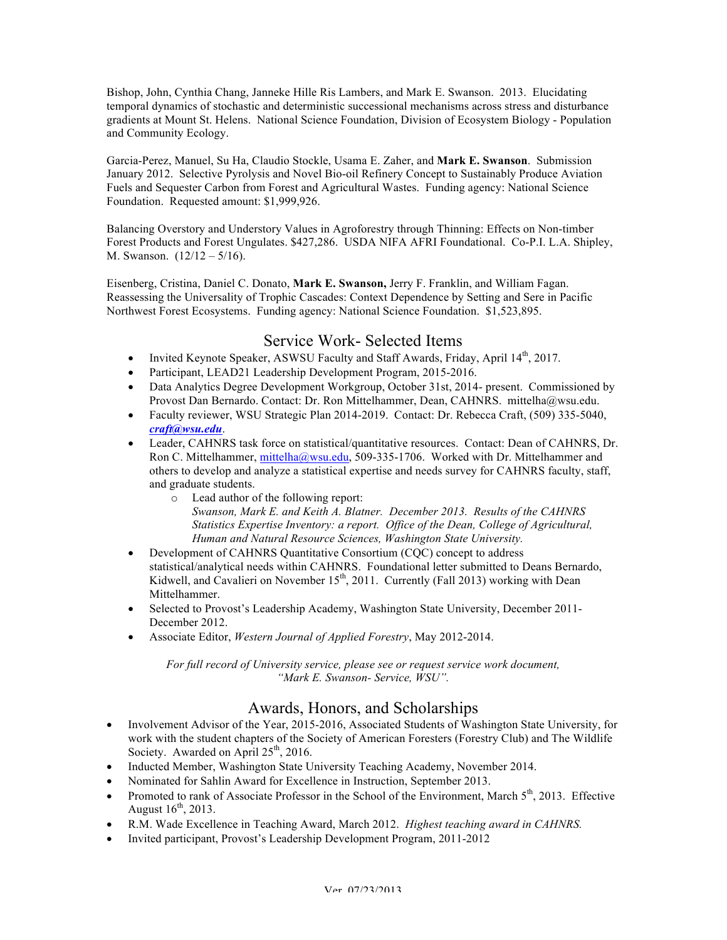Bishop, John, Cynthia Chang, Janneke Hille Ris Lambers, and Mark E. Swanson. 2013. Elucidating temporal dynamics of stochastic and deterministic successional mechanisms across stress and disturbance gradients at Mount St. Helens. National Science Foundation, Division of Ecosystem Biology - Population and Community Ecology.

Garcia-Perez, Manuel, Su Ha, Claudio Stockle, Usama E. Zaher, and **Mark E. Swanson**. Submission January 2012. Selective Pyrolysis and Novel Bio-oil Refinery Concept to Sustainably Produce Aviation Fuels and Sequester Carbon from Forest and Agricultural Wastes. Funding agency: National Science Foundation. Requested amount: \$1,999,926.

Balancing Overstory and Understory Values in Agroforestry through Thinning: Effects on Non-timber Forest Products and Forest Ungulates. \$427,286. USDA NIFA AFRI Foundational. Co-P.I. L.A. Shipley, M. Swanson. (12/12 – 5/16).

Eisenberg, Cristina, Daniel C. Donato, **Mark E. Swanson,** Jerry F. Franklin, and William Fagan. Reassessing the Universality of Trophic Cascades: Context Dependence by Setting and Sere in Pacific Northwest Forest Ecosystems. Funding agency: National Science Foundation. \$1,523,895.

# Service Work- Selected Items

- Invited Keynote Speaker, ASWSU Faculty and Staff Awards, Friday, April 14<sup>th</sup>, 2017.
- Participant, LEAD21 Leadership Development Program, 2015-2016.
- Data Analytics Degree Development Workgroup, October 31st, 2014- present. Commissioned by Provost Dan Bernardo. Contact: Dr. Ron Mittelhammer, Dean, CAHNRS. mittelha@wsu.edu.
- Faculty reviewer, WSU Strategic Plan 2014-2019. Contact: Dr. Rebecca Craft, (509) 335-5040, *craft@wsu.edu*.
- Leader, CAHNRS task force on statistical/quantitative resources. Contact: Dean of CAHNRS, Dr. Ron C. Mittelhammer, mittelha@wsu.edu, 509-335-1706. Worked with Dr. Mittelhammer and others to develop and analyze a statistical expertise and needs survey for CAHNRS faculty, staff, and graduate students.
	- o Lead author of the following report: *Swanson, Mark E. and Keith A. Blatner. December 2013. Results of the CAHNRS Statistics Expertise Inventory: a report. Office of the Dean, College of Agricultural, Human and Natural Resource Sciences, Washington State University.*
- Development of CAHNRS Quantitative Consortium (CQC) concept to address statistical/analytical needs within CAHNRS. Foundational letter submitted to Deans Bernardo, Kidwell, and Cavalieri on November 15<sup>th</sup>, 2011. Currently (Fall 2013) working with Dean Mittelhammer.
- Selected to Provost's Leadership Academy, Washington State University, December 2011- December 2012.
- Associate Editor, *Western Journal of Applied Forestry*, May 2012-2014.

*For full record of University service, please see or request service work document, "Mark E. Swanson- Service, WSU".*

# Awards, Honors, and Scholarships

- Involvement Advisor of the Year, 2015-2016, Associated Students of Washington State University, for work with the student chapters of the Society of American Foresters (Forestry Club) and The Wildlife Society. Awarded on April  $25<sup>th</sup>$ , 2016.
- Inducted Member, Washington State University Teaching Academy, November 2014.
- Nominated for Sahlin Award for Excellence in Instruction, September 2013.
- Promoted to rank of Associate Professor in the School of the Environment, March  $5<sup>th</sup>$ , 2013. Effective August  $16^{th}$ , 2013.
- R.M. Wade Excellence in Teaching Award, March 2012. *Highest teaching award in CAHNRS.*
- Invited participant, Provost's Leadership Development Program, 2011-2012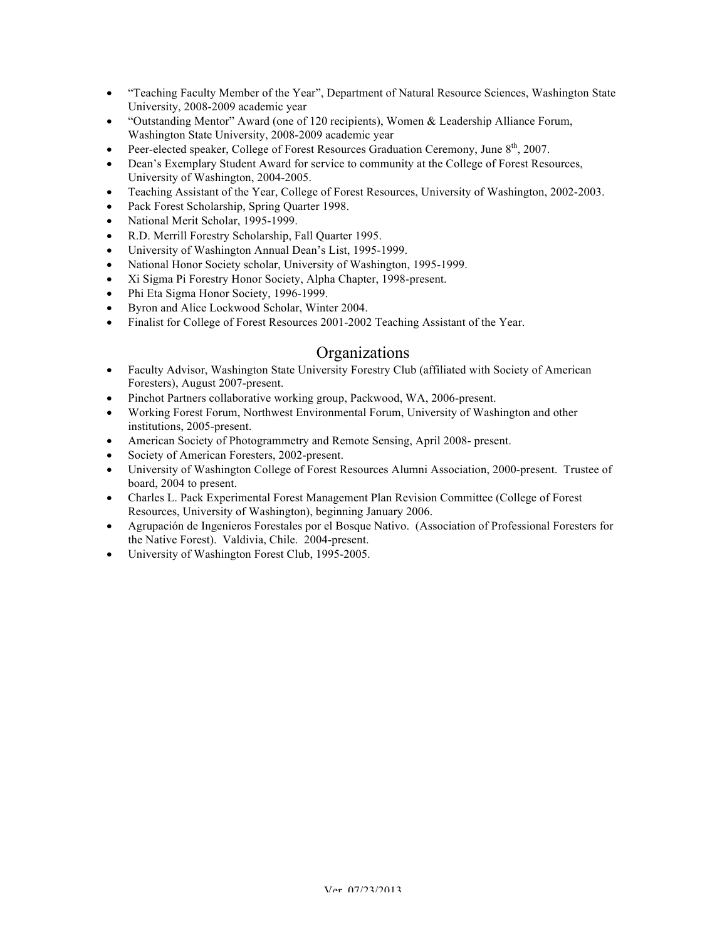- "Teaching Faculty Member of the Year", Department of Natural Resource Sciences, Washington State University, 2008-2009 academic year
- "Outstanding Mentor" Award (one of 120 recipients), Women & Leadership Alliance Forum, Washington State University, 2008-2009 academic year
- Peer-elected speaker, College of Forest Resources Graduation Ceremony, June  $8<sup>th</sup>$ , 2007.
- Dean's Exemplary Student Award for service to community at the College of Forest Resources, University of Washington, 2004-2005.
- Teaching Assistant of the Year, College of Forest Resources, University of Washington, 2002-2003.
- Pack Forest Scholarship, Spring Quarter 1998.
- National Merit Scholar, 1995-1999.
- R.D. Merrill Forestry Scholarship, Fall Quarter 1995.
- University of Washington Annual Dean's List, 1995-1999.
- National Honor Society scholar, University of Washington, 1995-1999.
- Xi Sigma Pi Forestry Honor Society, Alpha Chapter, 1998-present.
- Phi Eta Sigma Honor Society, 1996-1999.
- Byron and Alice Lockwood Scholar, Winter 2004.
- Finalist for College of Forest Resources 2001-2002 Teaching Assistant of the Year.

## **Organizations**

- Faculty Advisor, Washington State University Forestry Club (affiliated with Society of American Foresters), August 2007-present.
- Pinchot Partners collaborative working group, Packwood, WA, 2006-present.
- Working Forest Forum, Northwest Environmental Forum, University of Washington and other institutions, 2005-present.
- American Society of Photogrammetry and Remote Sensing, April 2008- present.
- Society of American Foresters, 2002-present.
- University of Washington College of Forest Resources Alumni Association, 2000-present. Trustee of board, 2004 to present.
- Charles L. Pack Experimental Forest Management Plan Revision Committee (College of Forest Resources, University of Washington), beginning January 2006.
- Agrupación de Ingenieros Forestales por el Bosque Nativo. (Association of Professional Foresters for the Native Forest). Valdivia, Chile. 2004-present.
- University of Washington Forest Club, 1995-2005.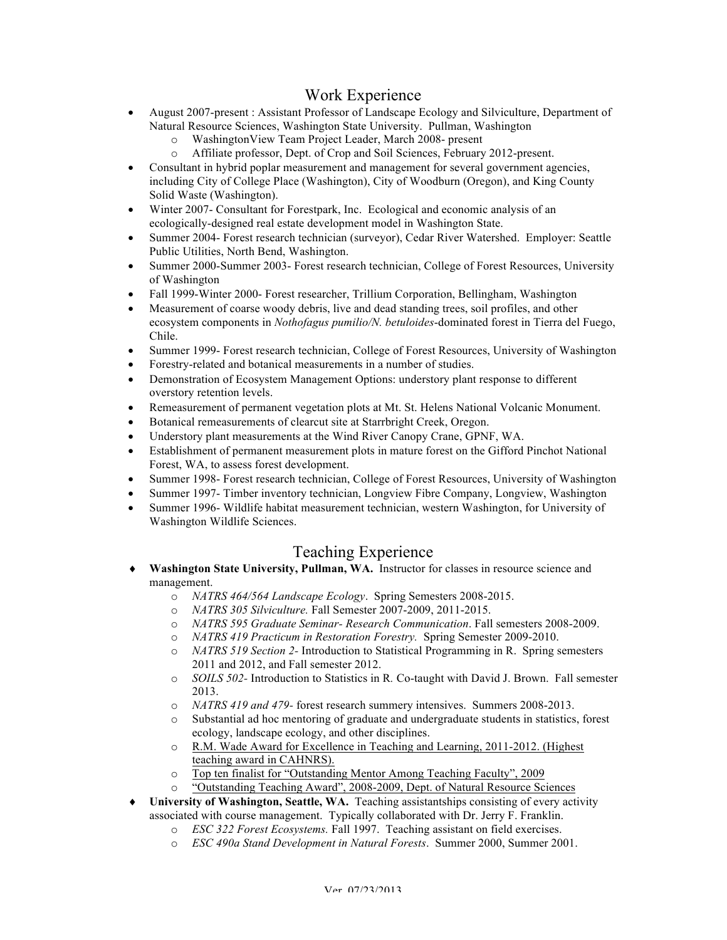# Work Experience

- August 2007-present : Assistant Professor of Landscape Ecology and Silviculture, Department of Natural Resource Sciences, Washington State University. Pullman, Washington
	- o WashingtonView Team Project Leader, March 2008- present
	- o Affiliate professor, Dept. of Crop and Soil Sciences, February 2012-present.
- Consultant in hybrid poplar measurement and management for several government agencies, including City of College Place (Washington), City of Woodburn (Oregon), and King County Solid Waste (Washington).
- Winter 2007- Consultant for Forestpark, Inc. Ecological and economic analysis of an ecologically-designed real estate development model in Washington State.
- Summer 2004- Forest research technician (surveyor), Cedar River Watershed. Employer: Seattle Public Utilities, North Bend, Washington.
- Summer 2000-Summer 2003- Forest research technician, College of Forest Resources, University of Washington
- Fall 1999-Winter 2000- Forest researcher, Trillium Corporation, Bellingham, Washington
- Measurement of coarse woody debris, live and dead standing trees, soil profiles, and other ecosystem components in *Nothofagus pumilio/N. betuloides*-dominated forest in Tierra del Fuego, Chile.
- Summer 1999- Forest research technician, College of Forest Resources, University of Washington
- Forestry-related and botanical measurements in a number of studies.
- Demonstration of Ecosystem Management Options: understory plant response to different overstory retention levels.
- Remeasurement of permanent vegetation plots at Mt. St. Helens National Volcanic Monument.
- Botanical remeasurements of clearcut site at Starrbright Creek, Oregon.
- Understory plant measurements at the Wind River Canopy Crane, GPNF, WA.
- Establishment of permanent measurement plots in mature forest on the Gifford Pinchot National Forest, WA, to assess forest development.
- Summer 1998- Forest research technician, College of Forest Resources, University of Washington
- Summer 1997- Timber inventory technician, Longview Fibre Company, Longview, Washington
- Summer 1996- Wildlife habitat measurement technician, western Washington, for University of Washington Wildlife Sciences.

## Teaching Experience

- ¨ **Washington State University, Pullman, WA.** Instructor for classes in resource science and management.
	- o *NATRS 464/564 Landscape Ecology*. Spring Semesters 2008-2015.
	- o *NATRS 305 Silviculture.* Fall Semester 2007-2009, 2011-2015.
	- o *NATRS 595 Graduate Seminar- Research Communication*. Fall semesters 2008-2009.
	- o *NATRS 419 Practicum in Restoration Forestry.* Spring Semester 2009-2010.
	- o *NATRS 519 Section 2-* Introduction to Statistical Programming in R. Spring semesters 2011 and 2012, and Fall semester 2012.
	- o *SOILS 502-* Introduction to Statistics in R*.* Co-taught with David J. Brown. Fall semester 2013.
	- o *NATRS 419 and 479-* forest research summery intensives. Summers 2008-2013.
	- o Substantial ad hoc mentoring of graduate and undergraduate students in statistics, forest ecology, landscape ecology, and other disciplines.
	- o R.M. Wade Award for Excellence in Teaching and Learning, 2011-2012. (Highest teaching award in CAHNRS).
	- o Top ten finalist for "Outstanding Mentor Among Teaching Faculty", 2009
	- o "Outstanding Teaching Award", 2008-2009, Dept. of Natural Resource Sciences
- **University of Washington, Seattle, WA.** Teaching assistantships consisting of every activity associated with course management. Typically collaborated with Dr. Jerry F. Franklin.
	- o *ESC 322 Forest Ecosystems.* Fall 1997. Teaching assistant on field exercises.
	- o *ESC 490a Stand Development in Natural Forests*. Summer 2000, Summer 2001.